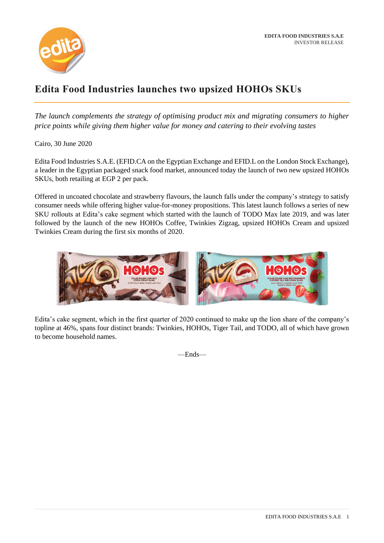

## **Edita Food Industries launches two upsized HOHOs SKUs**

*The launch complements the strategy of optimising product mix and migrating consumers to higher price points while giving them higher value for money and catering to their evolving tastes* 

Cairo, 30 June 2020

Edita Food Industries S.A.E. (EFID.CA on the Egyptian Exchange and EFID.L on the London Stock Exchange), a leader in the Egyptian packaged snack food market, announced today the launch of two new upsized HOHOs SKUs, both retailing at EGP 2 per pack.

Offered in uncoated chocolate and strawberry flavours, the launch falls under the company's strategy to satisfy consumer needs while offering higher value-for-money propositions. This latest launch follows a series of new SKU rollouts at Edita's cake segment which started with the launch of TODO Max late 2019, and was later followed by the launch of the new HOHOs Coffee, Twinkies Zigzag, upsized HOHOs Cream and upsized Twinkies Cream during the first six months of 2020.



Edita's cake segment, which in the first quarter of 2020 continued to make up the lion share of the company's topline at 46%, spans four distinct brands: Twinkies, HOHOs, Tiger Tail, and TODO, all of which have grown to become household names.

—Ends—